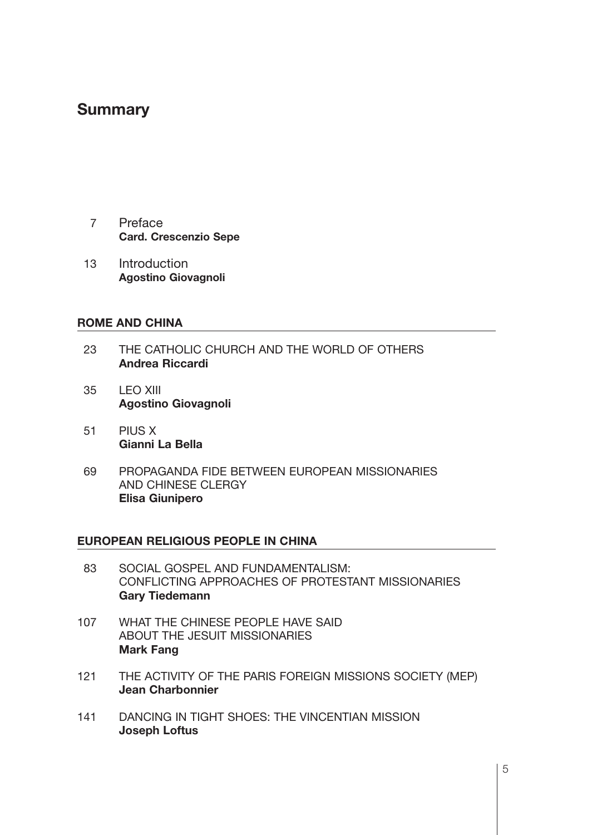## **Summary**

- 7 Preface **Card. Crescenzio Sepe**
- 13 Introduction **Agostino Giovagnoli**

## **ROME AND CHINA**

- 23 THE CATHOLIC CHURCH AND THE WORLD OF OTHERS **Andrea Riccardi**
- 35 **LEO XIII Agostino Giovagnoli**
- 51 PIUS X **Gianni La Bella**
- 169 PROPAGANDA FIDE BETWEEN EUROPEAN MISSIONARIES AND CHINESE CLERGY **Elisa Giunipero**

## **EUROPEAN RELIGIOUS PEOPLE IN CHINA**

- 83 SOCIAL GOSPEL AND FUNDAMENTALISM: CONFLICTING APPROACHES OF PROTESTANT MISSIONARIES **Gary Tiedemann**
- 107 WHAT THE CHINESE PEOPLE HAVE SAID ABOUT THE JESUIT MISSIONARIES **Mark Fang**
- 121 THE ACTIVITY OF THE PARIS FOREIGN MISSIONS SOCIETY (MEP) **Jean Charbonnier**
- 141 DANCING IN TIGHT SHOES: THE VINCENTIAN MISSION **Joseph Loftus**